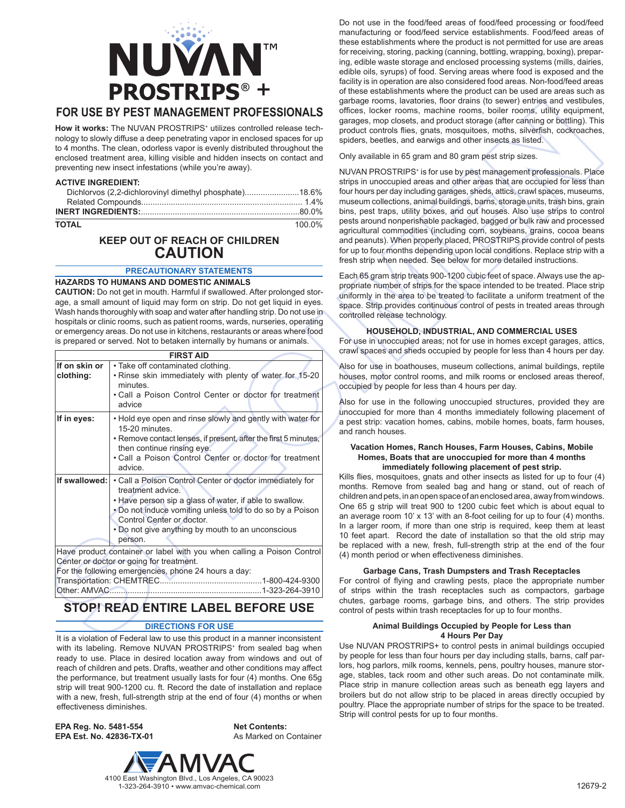

# **FOR USE BY PEST MANAGEMENT PROFESSIONALS**

How it works: The NUVAN PROSTRIPS<sup>+</sup> utilizes controlled release technology to slowly diffuse a deep penetrating vapor in enclosed spaces for up to 4 months. The clean, odorless vapor is evenly distributed throughout the enclosed treatment area, killing visible and hidden insects on contact and preventing new insect infestations (while you're away).

### **ACTIVE INGREDIENT:**

**TOTAL** 100.0%

# **KEEP OUT OF REACH OF CHILDREN CAUTION**

# **PRECAUTIONARY STATEMENTS**

### **HAZARDS TO HUMANS AND DOMESTIC ANIMALS**

**CAUTION:** Do not get in mouth. Harmful if swallowed. After prolonged storage, a small amount of liquid may form on strip. Do not get liquid in eyes. Wash hands thoroughly with soap and water after handling strip. Do not use in hospitals or clinic rooms, such as patient rooms, wards, nurseries, operating or emergency areas. Do not use in kitchens, restaurants or areas where food is prepared or served. Not to betaken internally by humans or animals.

|                            | <b>FIRST AID</b>                                                                                                                                                                                                                                                                                   |
|----------------------------|----------------------------------------------------------------------------------------------------------------------------------------------------------------------------------------------------------------------------------------------------------------------------------------------------|
| If on skin or<br>clothing: | • Take off contaminated clothing.<br>. Rinse skin immediately with plenty of water for 15-20<br>minutes.<br>. Call a Poison Control Center or doctor for treatment<br>advice                                                                                                                       |
| If in eyes:                | . Hold eye open and rinse slowly and gently with water for<br>15-20 minutes.<br>• Remove contact lenses, if present, after the first 5 minutes,<br>then continue rinsing eye.<br>. Call a Poison Control Center or doctor for treatment<br>advice.                                                 |
| If swallowed:              | • Call a Poison Control Center or doctor immediately for<br>treatment advice.<br>. Have person sip a glass of water, if able to swallow.<br>• Do not induce vomiting unless told to do so by a Poison<br>Control Center or doctor.<br>. Do not give anything by mouth to an unconscious<br>person. |
| Transportation: CHEMTREC.  | Have product container or label with you when calling a Poison Control<br>Center or doctor or going for treatment.<br>For the following emergencies, phone 24 hours a day:<br>.1-800-424-9300                                                                                                      |

# **STOP! READ ENTIRE LABEL BEFORE USE** Other: AMVAC................................................................... 1-323-264-3910

## **DIRECTIONS FOR USE**

It is a violation of Federal law to use this product in a manner inconsistent with its labeling. Remove NUVAN PROSTRIPS<sup>+</sup> from sealed bag when ready to use. Place in desired location away from windows and out of reach of children and pets. Drafts, weather and other conditions may affect the performance, but treatment usually lasts for four (4) months. One 65g strip will treat 900-1200 cu. ft. Record the date of installation and replace with a new, fresh, full-strength strip at the end of four (4) months or when effectiveness diminishes.

**EPA Reg. No. 5481-554 EPA Est. No. 42836-TX-01** **Net Contents:** As Marked on Container



Do not use in the food/feed areas of food/feed processing or food/feed manufacturing or food/feed service establishments. Food/feed areas of these establishments where the product is not permitted for use are areas for receiving, storing, packing (canning, bottling, wrapping, boxing), preparing, edible waste storage and enclosed processing systems (mills, dairies, edible oils, syrups) of food. Serving areas where food is exposed and the facility is in operation are also considered food areas. Non-food/feed areas of these establishments where the product can be used are areas such as garbage rooms, lavatories, floor drains (to sewer) entries and vestibules, offices, locker rooms, machine rooms, boiler rooms, utility equipment, garages, mop closets, and product storage (after canning or bottling). This product controls flies, gnats, mosquitoes, moths, silverfish, cockroaches, spiders, beetles, and earwigs and other insects as listed.

Only available in 65 gram and 80 gram pest strip sizes.

NUVAN PROSTRIPS<sup>+</sup> is for use by pest management professionals. Place strips in unoccupied areas and other areas that are occupied for less than four hours per day including garages, sheds, attics, crawl spaces, museums, museum collections, animal buildings, barns, storage units, trash bins, grain bins, pest traps, utility boxes, and out houses. Also use strips to control pests around nonperishable packaged, bagged or bulk raw and processed agricultural commodities (including corn, soybeans, grains, cocoa beans and peanuts). When properly placed, PROSTRIPS provide control of pests for up to four months depending upon local conditions. Replace strip with a fresh strip when needed. See below for more detailed instructions.

Each 65 gram strip treats 900-1200 cubic feet of space. Always use the appropriate number of strips for the space intended to be treated. Place strip uniformly in the area to be treated to facilitate a uniform treatment of the space. Strip provides continuous control of pests in treated areas through controlled release technology.

# **HOUSEHOLD, INDUSTRIAL, AND COMMERCIAL USES**

For use in unoccupied areas; not for use in homes except garages, attics, crawl spaces and sheds occupied by people for less than 4 hours per day.

Also for use in boathouses, museum collections, animal buildings, reptile houses, motor control rooms, and milk rooms or enclosed areas thereof, occupied by people for less than 4 hours per day.

Also for use in the following unoccupied structures, provided they are unoccupied for more than 4 months immediately following placement of a pest strip: vacation homes, cabins, mobile homes, boats, farm houses, and ranch houses.

### **Vacation Homes, Ranch Houses, Farm Houses, Cabins, Mobile Homes, Boats that are unoccupied for more than 4 months immediately following placement of pest strip.**

Kills flies, mosquitoes, gnats and other insects as listed for up to four (4) months. Remove from sealed bag and hang or stand, out of reach of children and pets, in an open space of an enclosed area, away from windows. One 65 g strip will treat 900 to 1200 cubic feet which is about equal to an average room 10' x 13' with an 8-foot ceiling for up to four (4) months. In a larger room, if more than one strip is required, keep them at least 10 feet apart. Record the date of installation so that the old strip may be replaced with a new, fresh, full-strength strip at the end of the four (4) month period or when effectiveness diminishes.

# **Garbage Cans, Trash Dumpsters and Trash Receptacles**

For control of flying and crawling pests, place the appropriate number of strips within the trash receptacles such as compactors, garbage chutes, garbage rooms, garbage bins, and others. The strip provides control of pests within trash receptacles for up to four months.

### **Animal Buildings Occupied by People for Less than 4 Hours Per Day**

Use NUVAN PROSTRIPS+ to control pests in animal buildings occupied by people for less than four hours per day including stalls, barns, calf parlors, hog parlors, milk rooms, kennels, pens, poultry houses, manure storage, stables, tack room and other such areas. Do not contaminate milk. Place strip in manure collection areas such as beneath egg layers and broilers but do not allow strip to be placed in areas directly occupied by poultry. Place the appropriate number of strips for the space to be treated. Strip will control pests for up to four months.